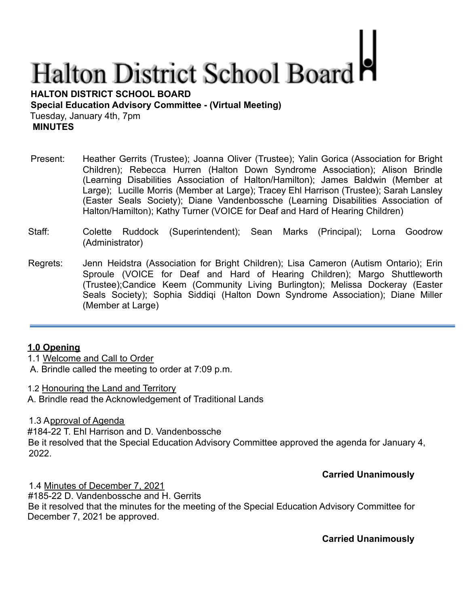# **Halton District School Board**

**HALTON DISTRICT SCHOOL BOARD Special Education Advisory Committee - (Virtual Meeting)** Tuesday, January 4th, 7pm **MINUTES**

- Present: Heather Gerrits (Trustee); Joanna Oliver (Trustee); Yalin Gorica (Association for Bright Children); Rebecca Hurren (Halton Down Syndrome Association); Alison Brindle (Learning Disabilities Association of Halton/Hamilton); James Baldwin (Member at Large); Lucille Morris (Member at Large); Tracey Ehl Harrison (Trustee); Sarah Lansley (Easter Seals Society); Diane Vandenbossche (Learning Disabilities Association of Halton/Hamilton); Kathy Turner (VOICE for Deaf and Hard of Hearing Children)
- Staff: Colette Ruddock (Superintendent); Sean Marks (Principal); Lorna Goodrow (Administrator)
- Regrets: Jenn Heidstra (Association for Bright Children); Lisa Cameron (Autism Ontario); Erin Sproule (VOICE for Deaf and Hard of Hearing Children); Margo Shuttleworth (Trustee);Candice Keem (Community Living Burlington); Melissa Dockeray (Easter Seals Society); Sophia Siddiqi (Halton Down Syndrome Association); Diane Miller (Member at Large)

### **1.0 Opening**

1.1 Welcome and Call to Order

A. Brindle called the meeting to order at 7:09 p.m.

1.2 Honouring the Land and Territory A. Brindle read the Acknowledgement of Traditional Lands

1.3 Approval of Agenda

#184-22 T. Ehl Harrison and D. Vandenbossche Be it resolved that the Special Education Advisory Committee approved the agenda for January 4, 2022.

### **Carried Unanimously**

1.4 Minutes of December 7, 2021 #185-22 D. Vandenbossche and H. Gerrits Be it resolved that the minutes for the meeting of the Special Education Advisory Committee for December 7, 2021 be approved.

**Carried Unanimously**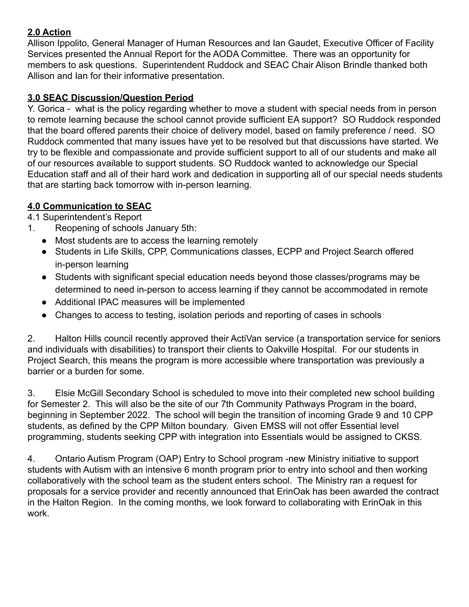# **2.0 Action**

Allison Ippolito, General Manager of Human Resources and Ian Gaudet, Executive Officer of Facility Services presented the Annual Report for the AODA Committee. There was an opportunity for members to ask questions. Superintendent Ruddock and SEAC Chair Alison Brindle thanked both Allison and Ian for their informative presentation.

## **3.0 SEAC Discussion/Question Period**

Y. Gorica - what is the policy regarding whether to move a student with special needs from in person to remote learning because the school cannot provide sufficient EA support? SO Ruddock responded that the board offered parents their choice of delivery model, based on family preference / need. SO Ruddock commented that many issues have yet to be resolved but that discussions have started. We try to be flexible and compassionate and provide sufficient support to all of our students and make all of our resources available to support students. SO Ruddock wanted to acknowledge our Special Education staff and all of their hard work and dedication in supporting all of our special needs students that are starting back tomorrow with in-person learning.

# **4.0 Communication to SEAC**

4.1 Superintendent's Report

- 1. Reopening of schools January 5th:
	- Most students are to access the learning remotely
	- Students in Life Skills, CPP, Communications classes, ECPP and Project Search offered in-person learning
	- Students with significant special education needs beyond those classes/programs may be determined to need in-person to access learning if they cannot be accommodated in remote
	- Additional IPAC measures will be implemented
	- Changes to access to testing, isolation periods and reporting of cases in schools

2. Halton Hills council recently approved their ActiVan service (a transportation service for seniors and individuals with disabilities) to transport their clients to Oakville Hospital. For our students in Project Search, this means the program is more accessible where transportation was previously a barrier or a burden for some.

3. Elsie McGill Secondary School is scheduled to move into their completed new school building for Semester 2. This will also be the site of our 7th Community Pathways Program in the board, beginning in September 2022. The school will begin the transition of incoming Grade 9 and 10 CPP students, as defined by the CPP Milton boundary. Given EMSS will not offer Essential level programming, students seeking CPP with integration into Essentials would be assigned to CKSS.

4. Ontario Autism Program (OAP) Entry to School program -new Ministry initiative to support students with Autism with an intensive 6 month program prior to entry into school and then working collaboratively with the school team as the student enters school. The Ministry ran a request for proposals for a service provider and recently announced that ErinOak has been awarded the contract in the Halton Region. In the coming months, we look forward to collaborating with ErinOak in this work.